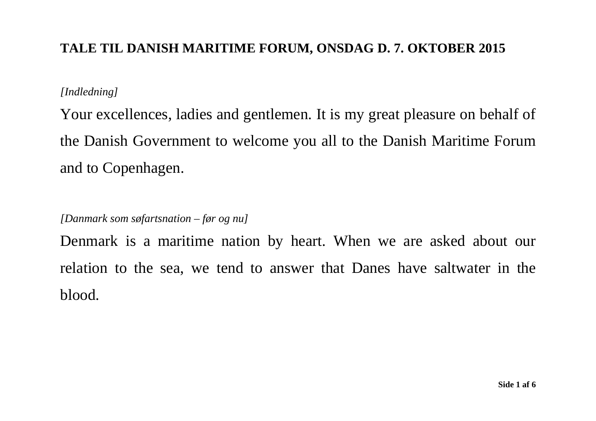## **TALE TIL DANISH MARITIME FORUM, ONSDAG D. 7. OKTOBER 2015**

## *[Indledning]*

Your excellences, ladies and gentlemen. It is my great pleasure on behalf of the Danish Government to welcome you all to the Danish Maritime Forum and to Copenhagen.

*[Danmark som søfartsnation – før og nu]* 

Denmark is a maritime nation by heart. When we are asked about our relation to the sea, we tend to answer that Danes have saltwater in the blood.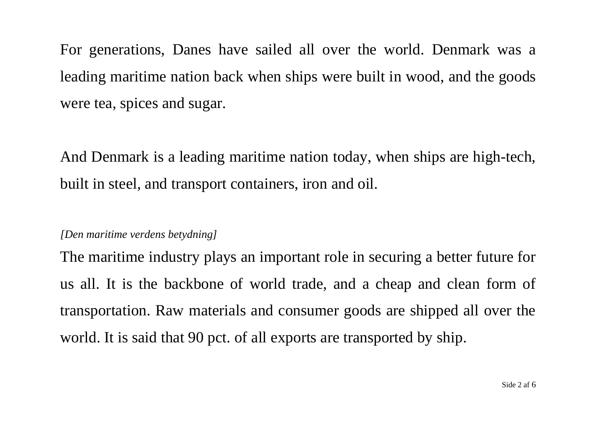For generations, Danes have sailed all over the world. Denmark was a leading maritime nation back when ships were built in wood, and the goods were tea, spices and sugar.

And Denmark is a leading maritime nation today, when ships are high-tech, built in steel, and transport containers, iron and oil.

## *[Den maritime verdens betydning]*

The maritime industry plays an important role in securing a better future for us all. It is the backbone of world trade, and a cheap and clean form of transportation. Raw materials and consumer goods are shipped all over the world. It is said that 90 pct. of all exports are transported by ship.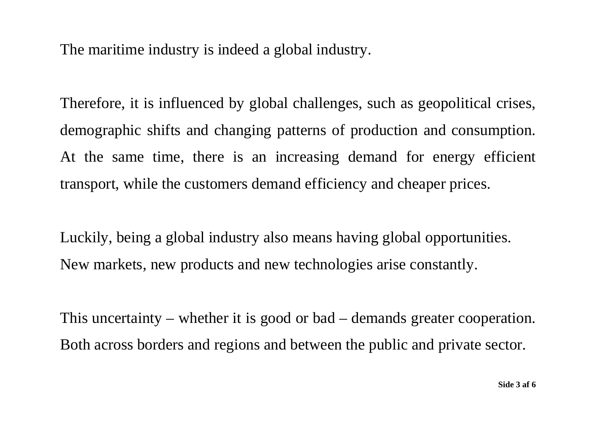The maritime industry is indeed a global industry.

Therefore, it is influenced by global challenges, such as geopolitical crises, demographic shifts and changing patterns of production and consumption. At the same time, there is an increasing demand for energy efficient transport, while the customers demand efficiency and cheaper prices.

Luckily, being a global industry also means having global opportunities. New markets, new products and new technologies arise constantly.

This uncertainty – whether it is good or bad – demands greater cooperation. Both across borders and regions and between the public and private sector.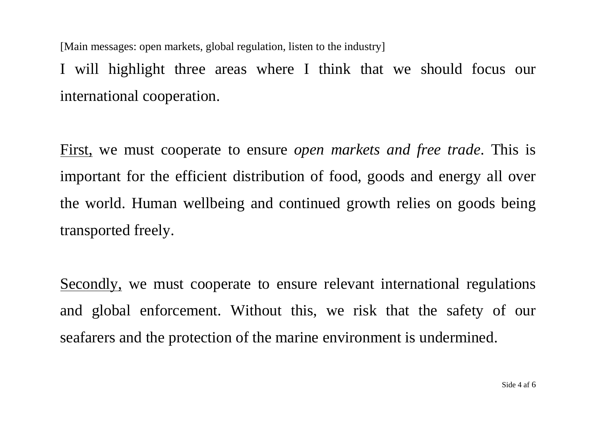[Main messages: open markets, global regulation, listen to the industry]

I will highlight three areas where I think that we should focus our international cooperation.

First, we must cooperate to ensure *open markets and free trade*. This is important for the efficient distribution of food, goods and energy all over the world. Human wellbeing and continued growth relies on goods being transported freely.

Secondly, we must cooperate to ensure relevant international regulations and global enforcement. Without this, we risk that the safety of our seafarers and the protection of the marine environment is undermined.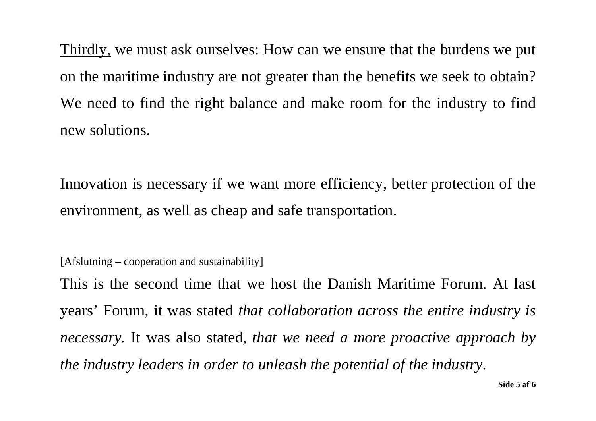Thirdly, we must ask ourselves: How can we ensure that the burdens we put on the maritime industry are not greater than the benefits we seek to obtain? We need to find the right balance and make room for the industry to find new solutions.

Innovation is necessary if we want more efficiency, better protection of the environment, as well as cheap and safe transportation.

[Afslutning – cooperation and sustainability]

This is the second time that we host the Danish Maritime Forum. At last years' Forum, it was stated *that collaboration across the entire industry is necessary.* It was also stated, *that we need a more proactive approach by the industry leaders in order to unleash the potential of the industry.*